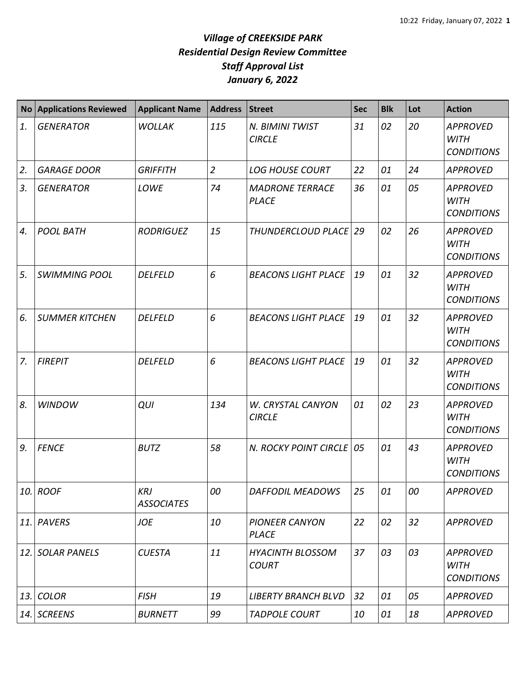| <b>No</b> | <b>Applications Reviewed</b> | <b>Applicant Name</b>           | <b>Address</b> | <b>Street</b>                           | <b>Sec</b> | <b>Blk</b> | Lot | <b>Action</b>                                       |
|-----------|------------------------------|---------------------------------|----------------|-----------------------------------------|------------|------------|-----|-----------------------------------------------------|
| 1.        | <b>GENERATOR</b>             | <b>WOLLAK</b>                   | 115            | N. BIMINI TWIST<br><b>CIRCLE</b>        | 31         | 02         | 20  | <b>APPROVED</b><br><b>WITH</b><br><b>CONDITIONS</b> |
| 2.        | <b>GARAGE DOOR</b>           | <b>GRIFFITH</b>                 | $\overline{2}$ | <b>LOG HOUSE COURT</b>                  | 22         | 01         | 24  | <b>APPROVED</b>                                     |
| 3.        | <b>GENERATOR</b>             | LOWE                            | 74             | <b>MADRONE TERRACE</b><br><b>PLACE</b>  | 36         | 01         | 05  | <b>APPROVED</b><br><b>WITH</b><br><b>CONDITIONS</b> |
| 4.        | <b>POOL BATH</b>             | <b>RODRIGUEZ</b>                | 15             | THUNDERCLOUD PLACE 29                   |            | 02         | 26  | <b>APPROVED</b><br><b>WITH</b><br><b>CONDITIONS</b> |
| 5.        | <b>SWIMMING POOL</b>         | <b>DELFELD</b>                  | 6              | <b>BEACONS LIGHT PLACE</b>              | 19         | 01         | 32  | <b>APPROVED</b><br><b>WITH</b><br><b>CONDITIONS</b> |
| 6.        | <b>SUMMER KITCHEN</b>        | <b>DELFELD</b>                  | 6              | <b>BEACONS LIGHT PLACE</b>              | 19         | 01         | 32  | <b>APPROVED</b><br><b>WITH</b><br><b>CONDITIONS</b> |
| 7.        | <b>FIREPIT</b>               | <b>DELFELD</b>                  | 6              | <b>BEACONS LIGHT PLACE</b>              | 19         | 01         | 32  | <b>APPROVED</b><br><b>WITH</b><br><b>CONDITIONS</b> |
| 8.        | <b>WINDOW</b>                | QUI                             | 134            | W. CRYSTAL CANYON<br><b>CIRCLE</b>      | 01         | 02         | 23  | <b>APPROVED</b><br><b>WITH</b><br><b>CONDITIONS</b> |
| 9.        | <b>FENCE</b>                 | <b>BUTZ</b>                     | 58             | N. ROCKY POINT CIRCLE   05              |            | 01         | 43  | <b>APPROVED</b><br><b>WITH</b><br><b>CONDITIONS</b> |
| 10.       | <b>ROOF</b>                  | <b>KRJ</b><br><b>ASSOCIATES</b> | 00             | <b>DAFFODIL MEADOWS</b>                 | 25         | 01         | 00  | <b>APPROVED</b>                                     |
| 11.       | PAVERS                       | JOE                             | 10             | <b>PIONEER CANYON</b><br><b>PLACE</b>   | 22         | 02         | 32  | <b>APPROVED</b>                                     |
| 12.       | <b>SOLAR PANELS</b>          | <b>CUESTA</b>                   | 11             | <b>HYACINTH BLOSSOM</b><br><b>COURT</b> | 37         | 03         | 03  | <b>APPROVED</b><br><b>WITH</b><br><b>CONDITIONS</b> |
| 13.       | <b>COLOR</b>                 | <b>FISH</b>                     | 19             | <b>LIBERTY BRANCH BLVD</b>              | 32         | 01         | 05  | <b>APPROVED</b>                                     |
|           | 14. SCREENS                  | <b>BURNETT</b>                  | 99             | <b>TADPOLE COURT</b>                    | 10         | 01         | 18  | <b>APPROVED</b>                                     |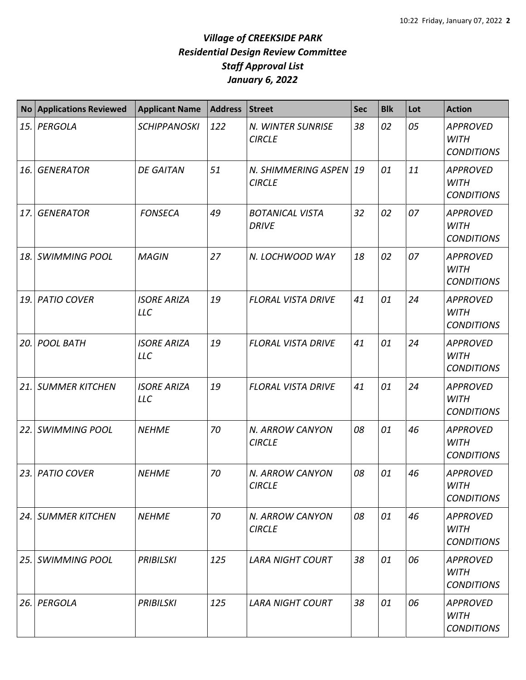| No <sub>1</sub> | <b>Applications Reviewed</b> | <b>Applicant Name</b>            | <b>Address</b> | Street                                 | <b>Sec</b> | <b>Blk</b> | Lot | <b>Action</b>                                       |
|-----------------|------------------------------|----------------------------------|----------------|----------------------------------------|------------|------------|-----|-----------------------------------------------------|
|                 | 15. PERGOLA                  | <b>SCHIPPANOSKI</b>              | 122            | N. WINTER SUNRISE<br><b>CIRCLE</b>     | 38         | 02         | 05  | <b>APPROVED</b><br><b>WITH</b><br><b>CONDITIONS</b> |
| 16.             | <b>GENERATOR</b>             | <b>DE GAITAN</b>                 | 51             | N. SHIMMERING ASPEN<br><b>CIRCLE</b>   | 19         | 01         | 11  | <b>APPROVED</b><br><b>WITH</b><br><b>CONDITIONS</b> |
| 17.             | <b>GENERATOR</b>             | <b>FONSECA</b>                   | 49             | <b>BOTANICAL VISTA</b><br><b>DRIVE</b> | 32         | 02         | 07  | <b>APPROVED</b><br><b>WITH</b><br><b>CONDITIONS</b> |
| 18.             | <b>SWIMMING POOL</b>         | <b>MAGIN</b>                     | 27             | N. LOCHWOOD WAY                        | 18         | 02         | 07  | <b>APPROVED</b><br><b>WITH</b><br><b>CONDITIONS</b> |
| 19.             | <b>PATIO COVER</b>           | <b>ISORE ARIZA</b><br><b>LLC</b> | 19             | <b>FLORAL VISTA DRIVE</b>              | 41         | 01         | 24  | <b>APPROVED</b><br><b>WITH</b><br><b>CONDITIONS</b> |
| 20. l           | <b>POOL BATH</b>             | <b>ISORE ARIZA</b><br><b>LLC</b> | 19             | <b>FLORAL VISTA DRIVE</b>              | 41         | 01         | 24  | <b>APPROVED</b><br><b>WITH</b><br><b>CONDITIONS</b> |
| 21.             | <b>SUMMER KITCHEN</b>        | <b>ISORE ARIZA</b><br><b>LLC</b> | 19             | <b>FLORAL VISTA DRIVE</b>              | 41         | 01         | 24  | <b>APPROVED</b><br><b>WITH</b><br><b>CONDITIONS</b> |
| 22.             | <b>SWIMMING POOL</b>         | <b>NEHME</b>                     | 70             | N. ARROW CANYON<br><b>CIRCLE</b>       | 08         | 01         | 46  | <b>APPROVED</b><br><b>WITH</b><br><b>CONDITIONS</b> |
| 23.1            | <b>PATIO COVER</b>           | <b>NEHME</b>                     | 70             | N. ARROW CANYON<br><b>CIRCLE</b>       | 08         | 01         | 46  | <b>APPROVED</b><br>WITH<br><b>CONDITIONS</b>        |
|                 | 24. SUMMER KITCHEN           | <b>NEHME</b>                     | 70             | N. ARROW CANYON<br><b>CIRCLE</b>       | 08         | 01         | 46  | <b>APPROVED</b><br>WITH<br><b>CONDITIONS</b>        |
| 25.             | <b>SWIMMING POOL</b>         | <b>PRIBILSKI</b>                 | 125            | <b>LARA NIGHT COURT</b>                | 38         | 01         | 06  | <b>APPROVED</b><br><b>WITH</b><br><b>CONDITIONS</b> |
| 26.             | PERGOLA                      | <b>PRIBILSKI</b>                 | 125            | <b>LARA NIGHT COURT</b>                | 38         | 01         | 06  | <b>APPROVED</b><br>WITH<br><b>CONDITIONS</b>        |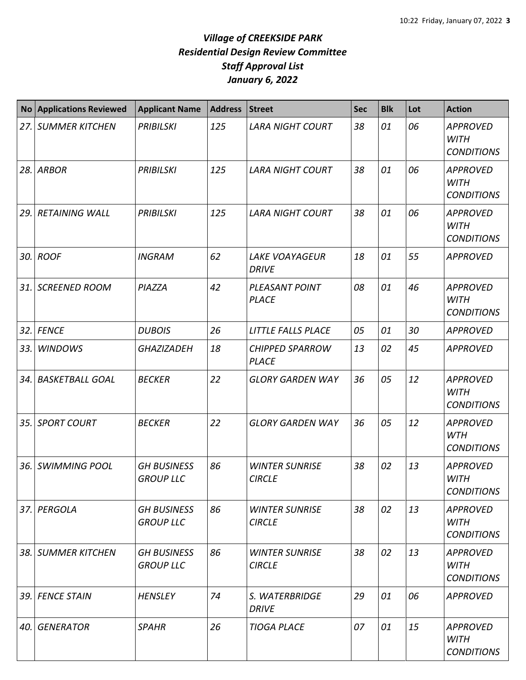| <b>No</b> | <b>Applications Reviewed</b> | <b>Applicant Name</b>                  | <b>Address</b> | <b>Street</b>                          | <b>Sec</b> | <b>Blk</b> | Lot | <b>Action</b>                                       |
|-----------|------------------------------|----------------------------------------|----------------|----------------------------------------|------------|------------|-----|-----------------------------------------------------|
| 27.       | <b>SUMMER KITCHEN</b>        | <b>PRIBILSKI</b>                       | 125            | <b>LARA NIGHT COURT</b>                | 38         | 01         | 06  | <b>APPROVED</b><br><b>WITH</b><br><b>CONDITIONS</b> |
| 28.       | ARBOR                        | <b>PRIBILSKI</b>                       | 125            | <b>LARA NIGHT COURT</b>                | 38         | 01         | 06  | <b>APPROVED</b><br><b>WITH</b><br><b>CONDITIONS</b> |
| 29.       | <b>RETAINING WALL</b>        | <b>PRIBILSKI</b>                       | 125            | <b>LARA NIGHT COURT</b>                | 38         | 01         | 06  | <b>APPROVED</b><br><b>WITH</b><br><b>CONDITIONS</b> |
| 30.       | <b>ROOF</b>                  | <b>INGRAM</b>                          | 62             | <b>LAKE VOAYAGEUR</b><br><b>DRIVE</b>  | 18         | 01         | 55  | <b>APPROVED</b>                                     |
| 31.       | <b>SCREENED ROOM</b>         | PIAZZA                                 | 42             | PLEASANT POINT<br><b>PLACE</b>         | 08         | 01         | 46  | <b>APPROVED</b><br><b>WITH</b><br><b>CONDITIONS</b> |
| 32.       | <b>FENCE</b>                 | <b>DUBOIS</b>                          | 26             | <b>LITTLE FALLS PLACE</b>              | 05         | 01         | 30  | <b>APPROVED</b>                                     |
| 33.       | <b>WINDOWS</b>               | <b>GHAZIZADEH</b>                      | 18             | <b>CHIPPED SPARROW</b><br><b>PLACE</b> | 13         | 02         | 45  | <b>APPROVED</b>                                     |
| 34.       | <b>BASKETBALL GOAL</b>       | <b>BECKER</b>                          | 22             | <b>GLORY GARDEN WAY</b>                | 36         | 05         | 12  | <b>APPROVED</b><br><b>WITH</b><br><b>CONDITIONS</b> |
| 35.       | <b>SPORT COURT</b>           | <b>BECKER</b>                          | 22             | <b>GLORY GARDEN WAY</b>                | 36         | 05         | 12  | <b>APPROVED</b><br>WTH<br><b>CONDITIONS</b>         |
| 36.       | <b>SWIMMING POOL</b>         | <b>GH BUSINESS</b><br><b>GROUP LLC</b> | 86             | <b>WINTER SUNRISE</b><br><b>CIRCLE</b> | 38         | 02         | 13  | <b>APPROVED</b><br><b>WITH</b><br><b>CONDITIONS</b> |
| 37.       | PERGOLA                      | <b>GH BUSINESS</b><br><b>GROUP LLC</b> | 86             | <b>WINTER SUNRISE</b><br><b>CIRCLE</b> | 38         | 02         | 13  | <b>APPROVED</b><br><b>WITH</b><br><b>CONDITIONS</b> |
| 38.       | <b>SUMMER KITCHEN</b>        | <b>GH BUSINESS</b><br><b>GROUP LLC</b> | 86             | <b>WINTER SUNRISE</b><br><b>CIRCLE</b> | 38         | 02         | 13  | <b>APPROVED</b><br><b>WITH</b><br><b>CONDITIONS</b> |
| 39.       | <b>FENCE STAIN</b>           | <b>HENSLEY</b>                         | 74             | S. WATERBRIDGE<br><b>DRIVE</b>         | 29         | 01         | 06  | <b>APPROVED</b>                                     |
| 40.       | <b>GENERATOR</b>             | <b>SPAHR</b>                           | 26             | <b>TIOGA PLACE</b>                     | 07         | 01         | 15  | <b>APPROVED</b><br><b>WITH</b><br><b>CONDITIONS</b> |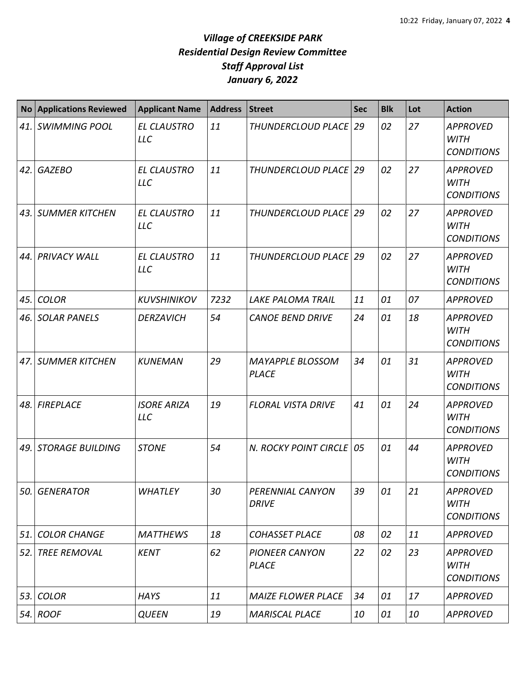| <b>No</b> | <b>Applications Reviewed</b> | <b>Applicant Name</b>            | <b>Address</b> | <b>Street</b>                           | <b>Sec</b> | <b>Blk</b> | Lot | <b>Action</b>                                       |
|-----------|------------------------------|----------------------------------|----------------|-----------------------------------------|------------|------------|-----|-----------------------------------------------------|
| 41.       | <b>SWIMMING POOL</b>         | <b>EL CLAUSTRO</b><br><b>LLC</b> | 11             | THUNDERCLOUD PLACE 29                   |            | 02         | 27  | <b>APPROVED</b><br><b>WITH</b><br><b>CONDITIONS</b> |
| 42.       | <b>GAZEBO</b>                | <b>EL CLAUSTRO</b><br><b>LLC</b> | 11             | THUNDERCLOUD PLACE   29                 |            | 02         | 27  | <b>APPROVED</b><br><b>WITH</b><br><b>CONDITIONS</b> |
| 43.       | <b>SUMMER KITCHEN</b>        | <b>EL CLAUSTRO</b><br><b>LLC</b> | 11             | THUNDERCLOUD PLACE   29                 |            | 02         | 27  | <b>APPROVED</b><br><b>WITH</b><br><b>CONDITIONS</b> |
| 44.       | <b>PRIVACY WALL</b>          | <b>EL CLAUSTRO</b><br><b>LLC</b> | 11             | THUNDERCLOUD PLACE                      | 29         | 02         | 27  | <b>APPROVED</b><br><b>WITH</b><br><b>CONDITIONS</b> |
| 45.       | <b>COLOR</b>                 | <b>KUVSHINIKOV</b>               | 7232           | <b>LAKE PALOMA TRAIL</b>                | 11         | 01         | 07  | <b>APPROVED</b>                                     |
| 46.       | <b>SOLAR PANELS</b>          | <b>DERZAVICH</b>                 | 54             | <b>CANOE BEND DRIVE</b>                 | 24         | 01         | 18  | <b>APPROVED</b><br><b>WITH</b><br><b>CONDITIONS</b> |
| 47.       | <b>SUMMER KITCHEN</b>        | <b>KUNEMAN</b>                   | 29             | <b>MAYAPPLE BLOSSOM</b><br><b>PLACE</b> | 34         | 01         | 31  | <b>APPROVED</b><br><b>WITH</b><br><b>CONDITIONS</b> |
| 48.       | <b>FIREPLACE</b>             | <b>ISORE ARIZA</b><br><b>LLC</b> | 19             | <b>FLORAL VISTA DRIVE</b>               | 41         | 01         | 24  | <b>APPROVED</b><br><b>WITH</b><br><b>CONDITIONS</b> |
| 49.       | <b>STORAGE BUILDING</b>      | <b>STONE</b>                     | 54             | N. ROCKY POINT CIRCLE   05              |            | 01         | 44  | <b>APPROVED</b><br><b>WITH</b><br><b>CONDITIONS</b> |
| 50.       | <b>GENERATOR</b>             | <b>WHATLEY</b>                   | 30             | PERENNIAL CANYON<br><b>DRIVE</b>        | 39         | 01         | 21  | <b>APPROVED</b><br><b>WITH</b><br><b>CONDITIONS</b> |
| 51.       | <b>COLOR CHANGE</b>          | <b>MATTHEWS</b>                  | 18             | <b>COHASSET PLACE</b>                   | 08         | 02         | 11  | <b>APPROVED</b>                                     |
| 52.       | <b>TREE REMOVAL</b>          | <b>KENT</b>                      | 62             | <b>PIONEER CANYON</b><br><b>PLACE</b>   | 22         | 02         | 23  | <b>APPROVED</b><br><b>WITH</b><br><b>CONDITIONS</b> |
| 53.       | <b>COLOR</b>                 | <b>HAYS</b>                      | 11             | <b>MAIZE FLOWER PLACE</b>               | 34         | 01         | 17  | <b>APPROVED</b>                                     |
|           | 54. ROOF                     | <b>QUEEN</b>                     | 19             | <b>MARISCAL PLACE</b>                   | 10         | 01         | 10  | <b>APPROVED</b>                                     |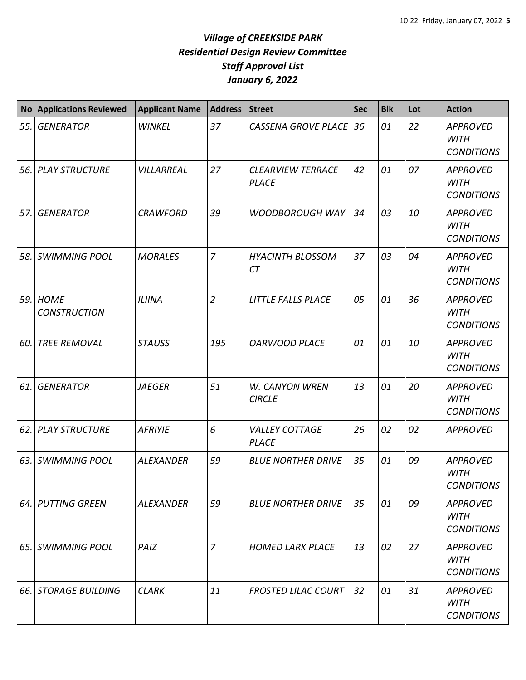| <b>No</b> | <b>Applications Reviewed</b>       | <b>Applicant Name</b> | <b>Address</b> | <b>Street</b>                            | <b>Sec</b> | <b>Blk</b> | Lot | <b>Action</b>                                       |
|-----------|------------------------------------|-----------------------|----------------|------------------------------------------|------------|------------|-----|-----------------------------------------------------|
| 55.       | <b>GENERATOR</b>                   | <b>WINKEL</b>         | 37             | <b>CASSENA GROVE PLACE</b>               | 36         | 01         | 22  | <b>APPROVED</b><br><b>WITH</b><br><b>CONDITIONS</b> |
| 56.       | <b>PLAY STRUCTURE</b>              | VILLARREAL            | 27             | <b>CLEARVIEW TERRACE</b><br><b>PLACE</b> | 42         | 01         | 07  | <b>APPROVED</b><br><b>WITH</b><br><b>CONDITIONS</b> |
| 57.       | <b>GENERATOR</b>                   | <b>CRAWFORD</b>       | 39             | <b>WOODBOROUGH WAY</b>                   | 34         | 03         | 10  | <b>APPROVED</b><br><b>WITH</b><br><b>CONDITIONS</b> |
| 58.       | <b>SWIMMING POOL</b>               | <b>MORALES</b>        | $\overline{7}$ | <b>HYACINTH BLOSSOM</b><br><b>CT</b>     | 37         | 03         | 04  | <b>APPROVED</b><br><b>WITH</b><br><b>CONDITIONS</b> |
| 59.       | <b>HOME</b><br><b>CONSTRUCTION</b> | <b>ILIINA</b>         | $\overline{2}$ | <b>LITTLE FALLS PLACE</b>                | 05         | 01         | 36  | <b>APPROVED</b><br><b>WITH</b><br><b>CONDITIONS</b> |
| 60.       | <b>TREE REMOVAL</b>                | <b>STAUSS</b>         | 195            | <b>OARWOOD PLACE</b>                     | 01         | 01         | 10  | <b>APPROVED</b><br><b>WITH</b><br><b>CONDITIONS</b> |
| 61.       | <b>GENERATOR</b>                   | <b>JAEGER</b>         | 51             | W. CANYON WREN<br><b>CIRCLE</b>          | 13         | 01         | 20  | <b>APPROVED</b><br><b>WITH</b><br><b>CONDITIONS</b> |
| 62.       | <b>PLAY STRUCTURE</b>              | <b>AFRIYIE</b>        | 6              | <b>VALLEY COTTAGE</b><br><b>PLACE</b>    | 26         | 02         | 02  | <b>APPROVED</b>                                     |
| 63.       | <b>SWIMMING POOL</b>               | <b>ALEXANDER</b>      | 59             | <b>BLUE NORTHER DRIVE</b>                | 35         | 01         | 09  | <b>APPROVED</b><br><b>WITH</b><br><b>CONDITIONS</b> |
|           | 64. PUTTING GREEN                  | ALEXANDER             | 59             | <b>BLUE NORTHER DRIVE</b>                | 35         | 01         | 09  | <b>APPROVED</b><br>WITH<br><b>CONDITIONS</b>        |
| 65.       | <b>SWIMMING POOL</b>               | PAIZ                  | $\overline{7}$ | <b>HOMED LARK PLACE</b>                  | 13         | 02         | 27  | <b>APPROVED</b><br>WITH<br><b>CONDITIONS</b>        |
| 66.       | <b>STORAGE BUILDING</b>            | <b>CLARK</b>          | 11             | <b>FROSTED LILAC COURT</b>               | 32         | 01         | 31  | <b>APPROVED</b><br><b>WITH</b><br><b>CONDITIONS</b> |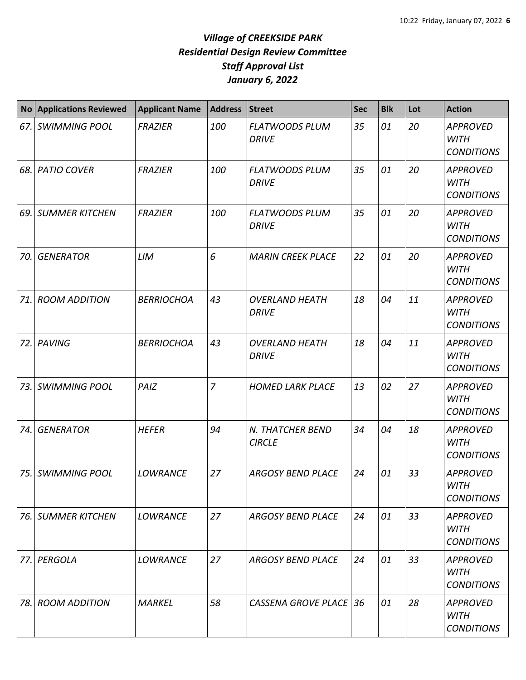|     | No Applications Reviewed | <b>Applicant Name</b> | <b>Address</b> | Street                                | <b>Sec</b> | <b>Blk</b> | Lot | <b>Action</b>                                       |
|-----|--------------------------|-----------------------|----------------|---------------------------------------|------------|------------|-----|-----------------------------------------------------|
| 67. | <b>SWIMMING POOL</b>     | <b>FRAZIER</b>        | 100            | <b>FLATWOODS PLUM</b><br><b>DRIVE</b> | 35         | 01         | 20  | <b>APPROVED</b><br><b>WITH</b><br><b>CONDITIONS</b> |
| 68. | <b>PATIO COVER</b>       | <b>FRAZIER</b>        | 100            | <b>FLATWOODS PLUM</b><br><b>DRIVE</b> | 35         | 01         | 20  | <b>APPROVED</b><br><b>WITH</b><br><b>CONDITIONS</b> |
| 69. | <b>SUMMER KITCHEN</b>    | <b>FRAZIER</b>        | 100            | <b>FLATWOODS PLUM</b><br><b>DRIVE</b> | 35         | 01         | 20  | <b>APPROVED</b><br><b>WITH</b><br><b>CONDITIONS</b> |
| 70. | <b>GENERATOR</b>         | LIM                   | 6              | <b>MARIN CREEK PLACE</b>              | 22         | 01         | 20  | <b>APPROVED</b><br><b>WITH</b><br><b>CONDITIONS</b> |
| 71. | <b>ROOM ADDITION</b>     | <b>BERRIOCHOA</b>     | 43             | <b>OVERLAND HEATH</b><br><b>DRIVE</b> | 18         | 04         | 11  | <b>APPROVED</b><br><b>WITH</b><br><b>CONDITIONS</b> |
| 72. | PAVING                   | <b>BERRIOCHOA</b>     | 43             | <b>OVERLAND HEATH</b><br><b>DRIVE</b> | 18         | 04         | 11  | <b>APPROVED</b><br><b>WITH</b><br><b>CONDITIONS</b> |
| 73. | <b>SWIMMING POOL</b>     | PAIZ                  | $\overline{z}$ | <b>HOMED LARK PLACE</b>               | 13         | 02         | 27  | <b>APPROVED</b><br><b>WITH</b><br><b>CONDITIONS</b> |
| 74. | <b>GENERATOR</b>         | <b>HEFER</b>          | 94             | N. THATCHER BEND<br><b>CIRCLE</b>     | 34         | 04         | 18  | <b>APPROVED</b><br><b>WITH</b><br><b>CONDITIONS</b> |
| 75. | <b>SWIMMING POOL</b>     | <b>LOWRANCE</b>       | 27             | <b>ARGOSY BEND PLACE</b>              | 24         | 01         | 33  | <b>APPROVED</b><br><b>WITH</b><br><b>CONDITIONS</b> |
| 76. | <b>SUMMER KITCHEN</b>    | <b>LOWRANCE</b>       | 27             | <b>ARGOSY BEND PLACE</b>              | 24         | 01         | 33  | <b>APPROVED</b><br>WITH<br><b>CONDITIONS</b>        |
| 77. | PERGOLA                  | <b>LOWRANCE</b>       | 27             | <b>ARGOSY BEND PLACE</b>              | 24         | 01         | 33  | <b>APPROVED</b><br><b>WITH</b><br><b>CONDITIONS</b> |
| 78. | <b>ROOM ADDITION</b>     | <b>MARKEL</b>         | 58             | <b>CASSENA GROVE PLACE 36</b>         |            | 01         | 28  | <b>APPROVED</b><br><b>WITH</b><br><b>CONDITIONS</b> |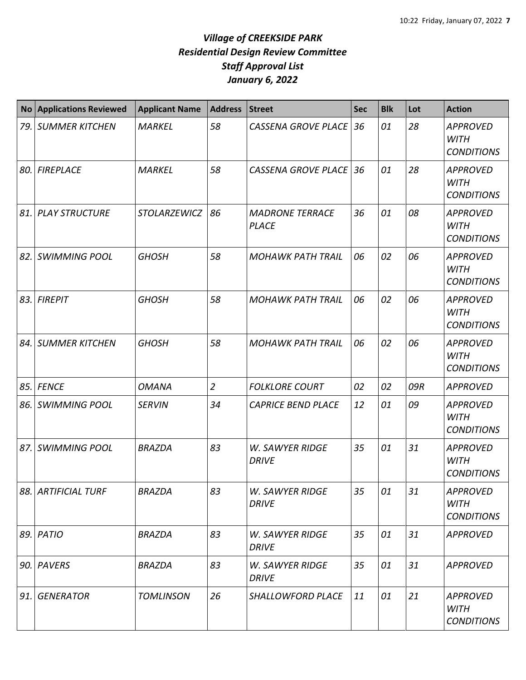| No  | <b>Applications Reviewed</b> | <b>Applicant Name</b> | <b>Address</b> | <b>Street</b>                          | <b>Sec</b> | <b>Blk</b> | Lot | <b>Action</b>                                       |
|-----|------------------------------|-----------------------|----------------|----------------------------------------|------------|------------|-----|-----------------------------------------------------|
|     | 79. SUMMER KITCHEN           | <b>MARKEL</b>         | 58             | CASSENA GROVE PLACE 36                 |            | 01         | 28  | <b>APPROVED</b><br><b>WITH</b><br><b>CONDITIONS</b> |
|     | 80. FIREPLACE                | <b>MARKEL</b>         | 58             | <b>CASSENA GROVE PLACE</b>             | 36         | 01         | 28  | <b>APPROVED</b><br><b>WITH</b><br><b>CONDITIONS</b> |
|     | 81. PLAY STRUCTURE           | STOLARZEWICZ          | 86             | <b>MADRONE TERRACE</b><br><b>PLACE</b> | 36         | 01         | 08  | <b>APPROVED</b><br><b>WITH</b><br><b>CONDITIONS</b> |
| 82. | <b>SWIMMING POOL</b>         | <b>GHOSH</b>          | 58             | <b>MOHAWK PATH TRAIL</b>               | 06         | 02         | 06  | <b>APPROVED</b><br><b>WITH</b><br><b>CONDITIONS</b> |
|     | 83. FIREPIT                  | <b>GHOSH</b>          | 58             | <b>MOHAWK PATH TRAIL</b>               | 06         | 02         | 06  | <b>APPROVED</b><br><b>WITH</b><br><b>CONDITIONS</b> |
|     | 84. SUMMER KITCHEN           | <b>GHOSH</b>          | 58             | <b>MOHAWK PATH TRAIL</b>               | 06         | 02         | 06  | <b>APPROVED</b><br><b>WITH</b><br><b>CONDITIONS</b> |
|     | 85. FENCE                    | <b>OMANA</b>          | $\overline{2}$ | <b>FOLKLORE COURT</b>                  | 02         | 02         | 09R | <b>APPROVED</b>                                     |
|     | 86. SWIMMING POOL            | <b>SERVIN</b>         | 34             | <b>CAPRICE BEND PLACE</b>              | 12         | 01         | 09  | <b>APPROVED</b><br><b>WITH</b><br><b>CONDITIONS</b> |
| 87. | <b>SWIMMING POOL</b>         | <b>BRAZDA</b>         | 83             | <b>W. SAWYER RIDGE</b><br><b>DRIVE</b> | 35         | 01         | 31  | <b>APPROVED</b><br><b>WITH</b><br><b>CONDITIONS</b> |
|     | 88. ARTIFICIAL TURF          | <b>BRAZDA</b>         | 83             | <b>W. SAWYER RIDGE</b><br><b>DRIVE</b> | 35         | 01         | 31  | <b>APPROVED</b><br><b>WITH</b><br><b>CONDITIONS</b> |
|     | 89. PATIO                    | <b>BRAZDA</b>         | 83             | W. SAWYER RIDGE<br><b>DRIVE</b>        | 35         | 01         | 31  | <b>APPROVED</b>                                     |
|     | 90. PAVERS                   | <b>BRAZDA</b>         | 83             | <b>W. SAWYER RIDGE</b><br><b>DRIVE</b> | 35         | 01         | 31  | <b>APPROVED</b>                                     |
| 91. | <b>GENERATOR</b>             | <b>TOMLINSON</b>      | 26             | SHALLOWFORD PLACE                      | 11         | 01         | 21  | <b>APPROVED</b><br><b>WITH</b><br><b>CONDITIONS</b> |